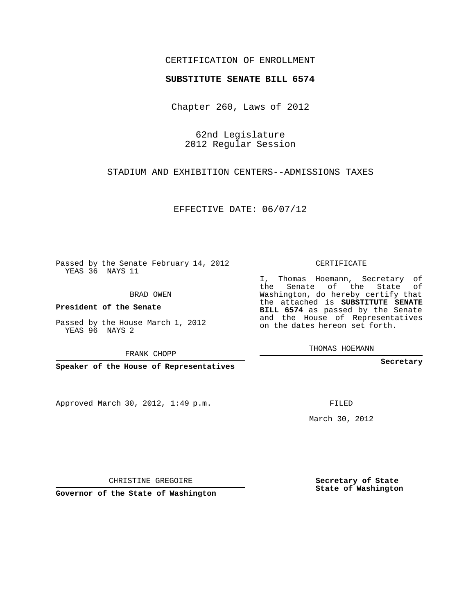## CERTIFICATION OF ENROLLMENT

## **SUBSTITUTE SENATE BILL 6574**

Chapter 260, Laws of 2012

62nd Legislature 2012 Regular Session

STADIUM AND EXHIBITION CENTERS--ADMISSIONS TAXES

EFFECTIVE DATE: 06/07/12

Passed by the Senate February 14, 2012 YEAS 36 NAYS 11

BRAD OWEN

**President of the Senate**

Passed by the House March 1, 2012 YEAS 96 NAYS 2

FRANK CHOPP

**Speaker of the House of Representatives**

Approved March 30, 2012, 1:49 p.m.

CERTIFICATE

I, Thomas Hoemann, Secretary of the Senate of the State of Washington, do hereby certify that the attached is **SUBSTITUTE SENATE BILL 6574** as passed by the Senate and the House of Representatives on the dates hereon set forth.

THOMAS HOEMANN

**Secretary**

FILED

March 30, 2012

**Secretary of State State of Washington**

CHRISTINE GREGOIRE

**Governor of the State of Washington**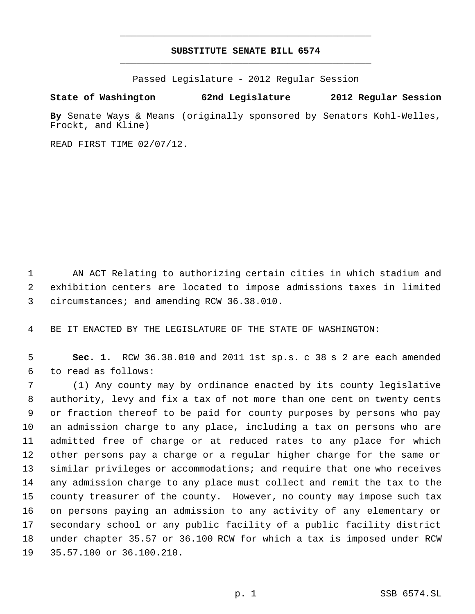## **SUBSTITUTE SENATE BILL 6574** \_\_\_\_\_\_\_\_\_\_\_\_\_\_\_\_\_\_\_\_\_\_\_\_\_\_\_\_\_\_\_\_\_\_\_\_\_\_\_\_\_\_\_\_\_

\_\_\_\_\_\_\_\_\_\_\_\_\_\_\_\_\_\_\_\_\_\_\_\_\_\_\_\_\_\_\_\_\_\_\_\_\_\_\_\_\_\_\_\_\_

Passed Legislature - 2012 Regular Session

## **State of Washington 62nd Legislature 2012 Regular Session**

**By** Senate Ways & Means (originally sponsored by Senators Kohl-Welles, Frockt, and Kline)

READ FIRST TIME 02/07/12.

 AN ACT Relating to authorizing certain cities in which stadium and exhibition centers are located to impose admissions taxes in limited circumstances; and amending RCW 36.38.010.

BE IT ENACTED BY THE LEGISLATURE OF THE STATE OF WASHINGTON:

 **Sec. 1.** RCW 36.38.010 and 2011 1st sp.s. c 38 s 2 are each amended to read as follows:

 (1) Any county may by ordinance enacted by its county legislative authority, levy and fix a tax of not more than one cent on twenty cents or fraction thereof to be paid for county purposes by persons who pay an admission charge to any place, including a tax on persons who are admitted free of charge or at reduced rates to any place for which other persons pay a charge or a regular higher charge for the same or similar privileges or accommodations; and require that one who receives any admission charge to any place must collect and remit the tax to the county treasurer of the county. However, no county may impose such tax on persons paying an admission to any activity of any elementary or secondary school or any public facility of a public facility district under chapter 35.57 or 36.100 RCW for which a tax is imposed under RCW 35.57.100 or 36.100.210.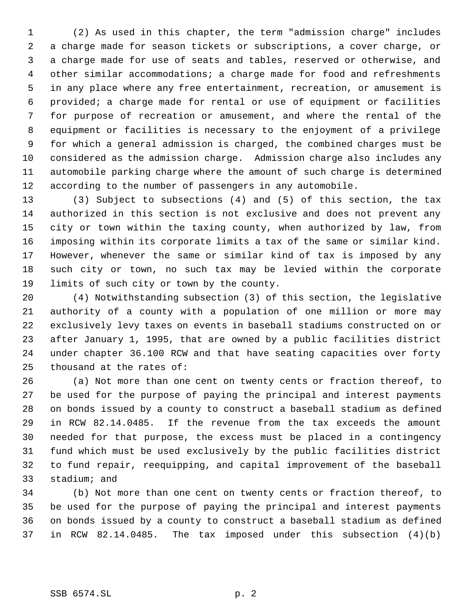(2) As used in this chapter, the term "admission charge" includes a charge made for season tickets or subscriptions, a cover charge, or a charge made for use of seats and tables, reserved or otherwise, and other similar accommodations; a charge made for food and refreshments in any place where any free entertainment, recreation, or amusement is provided; a charge made for rental or use of equipment or facilities for purpose of recreation or amusement, and where the rental of the equipment or facilities is necessary to the enjoyment of a privilege for which a general admission is charged, the combined charges must be considered as the admission charge. Admission charge also includes any automobile parking charge where the amount of such charge is determined according to the number of passengers in any automobile.

 (3) Subject to subsections (4) and (5) of this section, the tax authorized in this section is not exclusive and does not prevent any city or town within the taxing county, when authorized by law, from imposing within its corporate limits a tax of the same or similar kind. However, whenever the same or similar kind of tax is imposed by any such city or town, no such tax may be levied within the corporate limits of such city or town by the county.

 (4) Notwithstanding subsection (3) of this section, the legislative authority of a county with a population of one million or more may exclusively levy taxes on events in baseball stadiums constructed on or after January 1, 1995, that are owned by a public facilities district under chapter 36.100 RCW and that have seating capacities over forty thousand at the rates of:

 (a) Not more than one cent on twenty cents or fraction thereof, to be used for the purpose of paying the principal and interest payments on bonds issued by a county to construct a baseball stadium as defined in RCW 82.14.0485. If the revenue from the tax exceeds the amount needed for that purpose, the excess must be placed in a contingency fund which must be used exclusively by the public facilities district to fund repair, reequipping, and capital improvement of the baseball stadium; and

 (b) Not more than one cent on twenty cents or fraction thereof, to be used for the purpose of paying the principal and interest payments on bonds issued by a county to construct a baseball stadium as defined in RCW 82.14.0485. The tax imposed under this subsection (4)(b)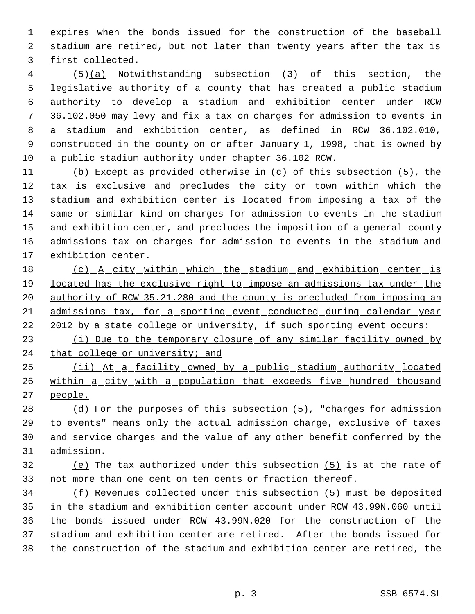expires when the bonds issued for the construction of the baseball stadium are retired, but not later than twenty years after the tax is first collected.

 (5)(a) Notwithstanding subsection (3) of this section, the legislative authority of a county that has created a public stadium authority to develop a stadium and exhibition center under RCW 36.102.050 may levy and fix a tax on charges for admission to events in a stadium and exhibition center, as defined in RCW 36.102.010, constructed in the county on or after January 1, 1998, that is owned by a public stadium authority under chapter 36.102 RCW.

 (b) Except as provided otherwise in (c) of this subsection (5), the tax is exclusive and precludes the city or town within which the stadium and exhibition center is located from imposing a tax of the same or similar kind on charges for admission to events in the stadium and exhibition center, and precludes the imposition of a general county admissions tax on charges for admission to events in the stadium and exhibition center.

18 (c) A city within which the stadium and exhibition center is 19 located has the exclusive right to impose an admissions tax under the authority of RCW 35.21.280 and the county is precluded from imposing an admissions tax, for a sporting event conducted during calendar year 22 2012 by a state college or university, if such sporting event occurs:

23 (i) Due to the temporary closure of any similar facility owned by 24 that college or university; and

 (ii) At a facility owned by a public stadium authority located within a city with a population that exceeds five hundred thousand people.

28 (d) For the purposes of this subsection  $(5)$ , "charges for admission to events" means only the actual admission charge, exclusive of taxes and service charges and the value of any other benefit conferred by the admission.

 (e) The tax authorized under this subsection (5) is at the rate of not more than one cent on ten cents or fraction thereof.

 (f) Revenues collected under this subsection (5) must be deposited in the stadium and exhibition center account under RCW 43.99N.060 until the bonds issued under RCW 43.99N.020 for the construction of the stadium and exhibition center are retired. After the bonds issued for the construction of the stadium and exhibition center are retired, the